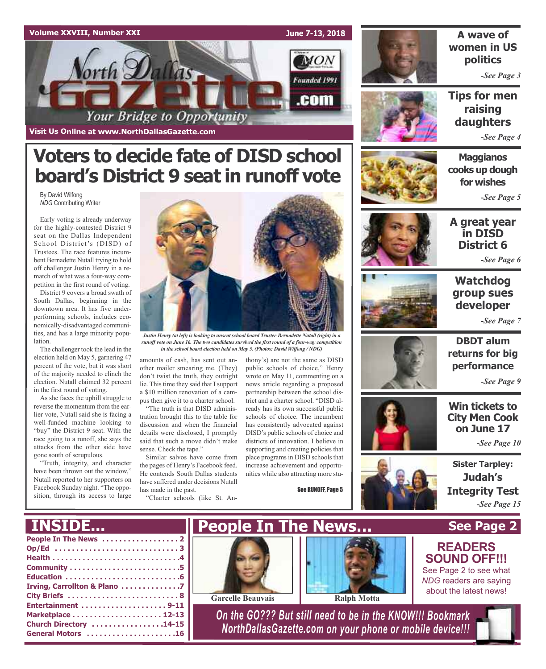



By David Wilfong *NDG* Contributing Writer

Early voting is already underway for the highly-contested District 9 seat on the Dallas Independent School District's (DISD) of Trustees. The race features incumbent Bernadette Nutall trying to hold off challenger Justin Henry in a rematch of what was a four-way competition in the first round of voting.

District 9 covers a broad swath of South Dallas, beginning in the downtown area. It has five underperforming schools, includes economically-disadvantaged communities, and has a large minority population.

The challenger took the lead in the election held on May 5, garnering 47 percent of the vote, but it was short of the majority needed to clinch the election. Nutall claimed 32 percent in the first round of voting.

As she faces the uphill struggle to reverse the momentum from the earlier vote, Nutall said she is facing a well-funded machine looking to "buy" the District 9 seat. With the race going to a runoff, she says the attacks from the other side have gone south of scrupulous.

"Truth, integrity, and character have been thrown out the window," Nutall reported to her supporters on Facebook Sunday night. "The opposition, through its access to large



*Justin Henry (at left) is looking to unseat school board Trustee Bernadette Nutall (right) in a runoff vote on June 16. The two candidates survived the first round of a four-way competition in the school board election held on May 5. (Photos: David Wilfong / NDG)*

amounts of cash, has sent out another mailer smearing me. (They) don't twist the truth, they outright lie. This time they said that I support a \$10 million renovation of a campus then give it to a charter school.

"The truth is that DISD administration brought this to the table for discussion and when the financial details were disclosed, I promptly said that such a move didn't make sense. Check the tape."

Similar salvos have come from the pages of Henry's Facebook feed. He contends South Dallas students have suffered under decisions Nutall has made in the past.

"Charter schools (like St. An-

thony's) are not the same as DISD public schools of choice," Henry wrote on May 11, commenting on a news article regarding a proposed partnership between the school district and a charter school. "DISD already has its own successful public schools of choice. The incumbent has consistently advocated against DISD's public schools of choice and districts of innovation. I believe in supporting and creating policies that place programs in DISD schools that increase achievement and opportunities while also attracting more stu-

See RUNOFF, Page 5



**A wave of women in US politics**

*-See Page 3*

**Tips for men raising daughters**

*-See Page 4*

**Maggianos cooks up dough for wishes**

*-See Page 5*



**A great year in DISD District 6**

*-See Page 6*



### **Watchdog group sues developer**

*-See Page 7*



**DBDT alum returns for big performance**

*-See Page 9*

**Win tickets to City Men Cook on June 17**

*-See Page 10*

**Sister Tarpley: Judah's Integrity Test** *-See Page 15*

**See Page 2**

**READERS SOUND OFF!!!** See Page 2 to see what *NDG* readers are saying about the latest news!

### **INSIDE...**

| Irving, Carrollton & Plano 7 |
|------------------------------|
|                              |
|                              |
|                              |
| Church Directory 14-15       |
| General Motors 16            |



**Garcelle Beauvais Ralph Motta**



*On the GO??? But still need to be in the KNOW!!! Bookmark NorthDallasGazette.com on your phone or mobile device!!!*



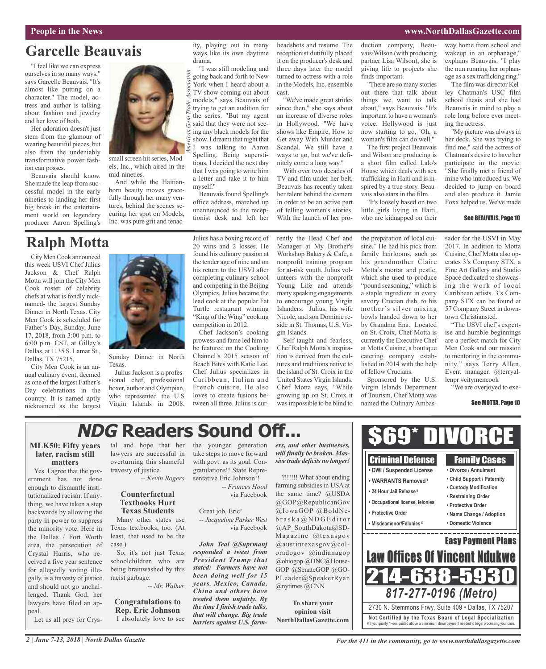#### **People in the News www.NorthDallasGazette.com**

## **Garcelle Beauvais**

"I feel like we can express ourselves in so many ways," says Garcelle Beauvais. "It's almost like putting on a character." The model, actress and author is talking about fashion and jewelry and her love of both.

Her adoration doesn't just stem from the glamour of wearing beautiful pieces, but also from the undeniably transformative power fashion can posses.

Beauvais should know. She made the leap from successful model in the early nineties to landing her first big break in the entertainment world on legendary producer Aaron Spelling's

### **Ralph Motta**

City MenCook announced this week USVI Chef Julius Jackson & Chef Ralph Motta will join the City Men Cook roster of celebrity chefs at what is fondly nicknamed- the largest Sunday Dinner in North Texas. City Men Cook is scheduled for Father's Day, Sunday, June 17, 2018, from 3:00 p.m. to 6:00 p.m. CST, at Gilley's Dallas, at 1135 S. Lamar St., Dallas, TX 75215.

City Men Cook is an annual culinary event, deemed as one of the largest Father's Day celebrations in the country. It is named aptly nicknamed as the largest



small screen hit series, Models, Inc., which aired in the

And while the Haitianborn beauty moves gracefully through her many ventures, behind the scenes securing her spot on Models, Inc. was pure grit and tenac-

mid-nineties.

Sunday Dinner in North Texas.

Julius Jackson is a professional chef, professional boxer, author and Olympian, who represented the U.S Virgin Islands in 2008. Julius has a boxing record of 20 wins and 2 losses. He found his culinary passion at the tender age of nine and on his return to the USVI after completing culinary school and competing in the Beijing Olympics,Julius became the lead cook at the popular Fat Turtle restaurant winning "King of the Wing" cooking competition in 2012.

Beauvais found Spelling's office address, marched up unannounced to the receptionist desk and left her

ity, playing out in many ways like its own daytime

"I was still modeling and going back and forth to New York when I heard about a TV show coming out about models," says Beauvais of trying to get an audition for the series. "But my agent said that they were not seeing any black models for the show. I dreamt that night that I was talking to Aaron Spelling. Being superstitious, I decided the next day that I was going to write him a letter and take it to him

drama.

myself."

*A*

*merican Gem*

*Trade Association*

Chef Jackson's cooking prowess and fame led him to be featured on the Cooking Channel's 2015 season of Beach Bites with Katie Lee. Chef Julius specializes in Caribbean, Italian and French cuisine. He also loves to create fusions between all three. Julius is curheadshots and resume. The receptionist dutifully placed it on the producer's desk and three days later the model turned to actress with a role in the Models, Inc. ensemble cast.

"We've made great strides since then," she says about an increase of diverse roles in Hollywood. "We have shows like Empire, How to Get away With Murder and Scandal. We still have a ways to go, but we've definitely come a long way."

With over two decades of TV and film under her belt, Beauvais has recently taken her talent behind the camera in order to be an active part of telling women's stories. With the launch of her pro-

rently the Head Chef and Manager at My Brother's Workshop Bakery & Cafe, a nonprofit training program for at-risk youth. Julius volunteers with the nonprofit Young Life and attends many speaking engagements to encourage young Virgin Islanders. Julius, his wife Nicole, and son Dominic reside in St. Thomas, U.S. Vir-

Self-taught and fearless, Chef Ralph Motta's inspiration is derived from the cultures and traditions native to the island of St. Croix in the United States Virgin Islands. Chef Motta says, "While growing up on St. Croix it wasimpossible to be blind to

gin Islands.

duction company, Beauvais/Wilson (with producing partner Lisa Wilson), she is giving life to projects she finds important.

"There are so many stories out there that talk about things we want to talk about," says Beauvais. "It's important to have a woman's voice. Hollywood is just now starting to go, 'Oh, a woman's film can do well.'"

The first project Beauvais and Wilson are producing is a short film called Lalo's House which deals with sex trafficking in Haiti and is inspired by a true story. Beauvais also stars in the film.

"It's loosely based on two little girls living in Haiti, who are kidnapped on their

way home from school and wakeup in an orphanage," explains Beauvais. "I play the nun running her orphanage as a sex trafficking ring."

The film was director Kelley Chatman's USC film school thesis and she had Beauvais in mind to play a role long before ever meeting the actress.

"My picture was always in her deck. She was trying to find me," said the actress of Chatman's desire to have her participate in the movie. "She finally met a friend of mine who introduced us. We decided to jump on board and also produce it. Jamie Foxx helped us. We've made

#### See BEAUVAIS, Page 10

the preparation of local cuisine." He had his pick from family heirlooms, such as his grandmother Claire Motta's mortar and pestle, which she used to produce "pound seasoning," which is a staple ingredient in every savory Crucian dish, to his mother's silver mixing bowls handed down to her by Grandma Ena. Located on St. Croix, Chef Motta is currently the Executive Chef at Motta Cuisine, a boutique catering company estab-

Sponsored by the U.S. Virgin Islands Department of Tourism, Chef Motta was named the Culinary Ambas-

lished in 2014 with the help

of fellow Crucians.

sador for the USVI in May 2017. In addition to Motta Cuisine, Chef Motta also operates 3's Company STX, a Fine Art Gallery and Studio Space dedicated to showcasing the work of local Caribbean artists. 3's Company STX can be found at 57 Company Street in downtown Christiansted.

"The USVI chef's expertise and humble beginnings are a perfect match for City Men Cook and our mission to mentoring in the community," says Terry Allen, Event manager. @terryallenpr #citymencook

"We are overjoyed to exe-

#### See MOTTA, Page 10

# **NDG Readers Sound Off...**

### **MLK50: Fifty years later, racism still matters**

Yes. I agree that the government has not done enough to dismantle institutionalized racism. If anything, we have taken a step backwards by allowing the party in power to suppress the minority vote. Here in the Dallas / Fort Worth area, the persecution of Crystal Harris, who received a five year sentence for allegedly voting illegally, is a travesty of justice and should not go unchallenged. Thank God, her lawyers have filed an appeal.

Let us all prey for Crys-

tal and hope that her lawyers are successful in overturning this shameful travesty of justice.

*-- Kevin Rogers*

### **Counterfactual Textbooks Hurt Texas Students**

Many other states use Texas textbooks, too. (At least, that used to be the case.)

So, it's not just Texas schoolchildren who are being brainwashed by this racist garbage.

*-- Mr. Walker*

**Congratulations to Rep. Eric Johnson** I absolutely love to see the younger generation take steps to move forward with govt. as its goal. Congratulations!! State Representative Eric Johnson!!

> *-- Frances Hood* via Facebook

#### Great job, Eric! *-- Jacqueline Parker West* via Facebook

*John Teal @Suprmanj responded a tweet from President Trump that stated: Farmers have not been doing well for 15 years. Mexico, Canada, China and others have treated them unfairly. By the time I finish trade talks, that will change. Big trade barriers against U.S. farm-* *ers, and other businesses, will finally be broken. Massive trade deficits no longer!*

?!!!!!! What about ending farming subsidies in USA at the same time? @USDA @GOP@RepublicanGov @IowaGOP @BoldNe $b$ r a s k a  $\mathcal{Q}$  N D G E ditor @AP\_SouthDakota@SD-Magazine @texasgov  $@$ austintexasgov $@$ coloradogov @indianagop @ohiogop @DNC@House-GOP @SenateGOP @GO-PLeader@SpeakerRyan @nytimes @CNN

**To share your opinion visit NorthDallasGazette.com**



*2 | June 7-13, 2018 | North Dallas Gazette*

*For the 411 in the community, go to www.northdallasgazette.com*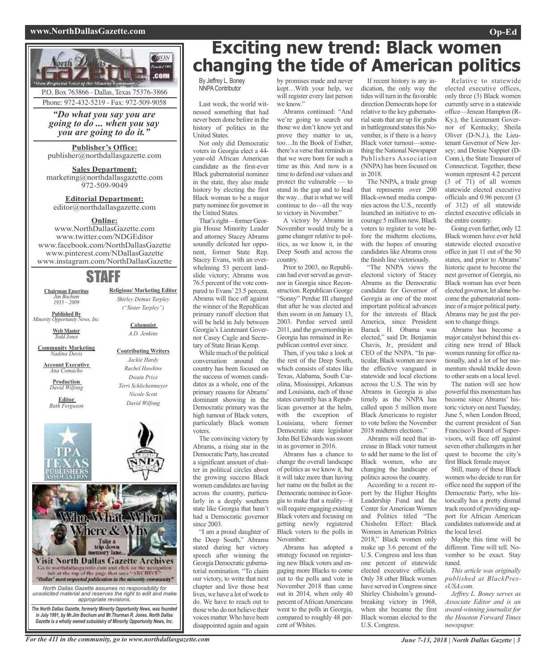#### **www.NorthDallasGazette.com Op-Ed**





P.O. Box 763866 - Dallas, Texas 75376-3866 Phone: 972-432-5219 - Fax: 972-509-9058

### *"Do what you say you are going to do ... when you say*

*you are going to do it."*

#### **Publisher's Office:** publisher@northdallasgazette.com

**Sales Department:** marketing@northdallasgazette.com 972-509-9049

### **Editorial Department:** editor@northdallasgazette.com

#### **Online:**

www.NorthDallasGazette.com www.twitter.com/NDGEditor www.facebook.com/NorthDallasGazette www.pinterest.com/NDallasGazette www.instagram.com/NorthDallasGazette

### STAFF

**Religious/ Marketing Editor** *Shirley Demus Tarpley ("Sister Tarpley")*

> **Columnist** *A.D. Jenkins*

**Contributing Writers** *Jackie Hardy Rachel Hawkins Dwain Price Terri Schlichenmeyer Nicole Scott David Wilfong*

**Chairman Emeritus** *Jim Bochum 1933 – 2009*

**Published By** *Minority Opportunity News, Inc.*

> **Web Master** *Todd Jones*

**Community Marketing** *Nadina Davis*

**Account Executive** *Ana Comacho*

**Production** *David Wilfong*

**Editor** *Ruth Ferguson*



### Visit North Dallas Gazette Archives Go to worth dalloogarette cam and click on the westpation<br>fab at the top of the page that same "ARCHIVE"<br>"Dallay" meet respected publication in the minority community"

*North Dallas Gazette assumes no responsibility for unsolicited material and reserves the right to edit and make appropriate revisions.*

*The North Dallas Gazette, formerly Minority Opportunity News, was founded in July 1991, by Mr.Jim Bochum and Mr.Thurman R. Jones. North Dallas Gazette is a wholly owned subsidairy of Minority Opportunity News, Inc.*

## **Exciting new trend: Black women changing the tide of American politics**

By Jeffrey L. Boney **NNPA Contributor** 

Last week, the world witnessed something that had never been done before in the history of politics in the United States.

Not only did Democratic voters in Georgia elect a 44 year-old African American candidate as the first-ever Black gubernatorial nominee in the state, they also made history by electing the first Black woman to be a major party nominee for governor in the United States.

That's right-former Georgia House Minority Leader and attorney Stacey Abrams soundly defeated her opponent, former State Rep. Stacey Evans, with an overwhelming 53 percent landslide victory; Abrams won 76.5 percent of the vote compared to Evans' 23.5 percent. Abrams will face off against the winner of the Republican primary runoff election that will be held in July between Georgia's Lieutenant Governor Casey Cagle and Secretary of State Brian Kemp.

While much of the political conversation around the country has been focused on the success of women candidates as a whole, one of the primary reasons for Abrams' dominant showing in the Democratic primary was the high turnout of Black voters, particularly Black women voters.

The convincing victory by Abrams, a rising star in the Democratic Party, has created a significant amount of chatter in political circles about the growing success Black women candidates are having across the country, particularly in a deeply southern state like Georgia that hasn't had a Democratic governor since 2003.

"I am a proud daughter of the Deep South," Abrams stated during her victory speech after winning the Georgia Democratic gubernatorial nomination. "To claim our victory, to write that next chapter and live those best lives, we have a lot of work to do. We have to reach out to those who do not believe their voices matter. Who have been disappointed again and again

by promises made and never kept…With your help, we will register every last person we know."

Abrams continued: "And we're going to search out those we don't know yet and prove they matter to us, too…In the Book of Esther, there's a verse that reminds us that we were born for such a time as this. And now is a time to defend our values and protect the vulnerable — to stand in the gap and to lead the way…that is what we will continue to do—all the way to victory in November."

A victory by Abrams in November would truly be a game changer relative to politics, as we know it, in the Deep South and across the country.

Prior to 2003, no Republican had ever served as governor in Georgia since Reconstruction. Republican George "Sonny" Perdue III changed that after he was elected and then sworn in on January 13, 2003. Perdue served until 2011, and the governorship in Georgia has remained in Republican control ever since.

Then, if you take a look at the rest of the Deep South, which consists of states like Texas, Alabama, South Carolina, Mississippi, Arkansas and Louisiana, each of those states currently has a Republican governor at the helm, with the exception of Louisiana, where former Democratic state legislator John Bel Edwards was sworn in as governor in 2016.

Abrams has a chance to change the overall landscape of politics as we know it, but it will take more than having her name on the ballot as the Democratic nominee in Georgia to make that a reality—it will require engaging existing Black voters and focusing on getting newly registered Black voters to the polls in November.

Abrams has adopted a strategy focused on registering new Black voters and engaging more Blacks to come out to the polls and vote in November 2018 than came out in 2014, when only 40 percent of African Americans went to the polls in Georgia, compared to roughly 48 percent of Whites.

If recent history is any indication, the only way the tides will turn in the favorable direction Democrats hope for relative to the key gubernatorial seats that are up for grabs in battleground states this November, is if there is a heavy Black voter turnout—something the National Newspaper Publishers Association (NNPA) has been focused on in 2018.

The NNPA, a trade group that represents over 200 Black-owned media companies across the U.S., recently launched an initiative to encourage 5 million new, Black voters to register to vote before the midterm elections, with the hopes of ensuring candidates like Abrams cross the finish line victoriously.

"The NNPA views the electoral victory of Stacey Abrams as the Democratic candidate for Governor of Georgia as one of the most important political advances for the interests of Black America, since President Barack H. Obama was elected," said Dr. Benjamin Chavis, Jr., president and CEO of the NNPA. "In particular, Black women are now the effective vanguard in statewide and local elections across the U.S. The win by Abrams in Georgia is also timely as the NNPA has called upon 5 million more Black Americans to register to vote before the November 2018 midterm elections."

Abrams will need that increase in Black voter turnout to add her name to the list of Black women, who are changing the landscape of politics across the country.

According to a recent report by the Higher Heights Leadership Fund and the Center for American Women and Politics titled "The Chisholm Effect: Black Women in American Politics 2018," Black women only make up 3.6 percent of the U.S. Congress and less than one percent of statewide elected executive officials. Only 38 other Black women have served in Congress since Shirley Chisholm's groundbreaking victory in 1968, when she became the first Black woman elected to the U.S. Congress.

Relative to statewide elected executive offices, only three (3) Black women currently serve in a statewide office—Jenean Hampton (R-Ky.), the Lieutenant Governor of Kentucky; Sheila Oliver (D-N.J.), the Lieutenant Governor of New Jersey; and Denise Nappier (D-Conn.), the State Treasurer of Connecticut. Together, these women represent 4.2 percent (3 of 71) of all women statewide elected executive officials and 0.96 percent (3 of 312) of all statewide elected executive officials in the entire country.

Going even further, only 12 Black women have ever held statewide elected executive office in just 11 out of the 50 states, and prior to Abrams' historic quest to become the next governor of Georgia, no Black woman has ever been elected governor, let alone become the gubernatorial nominee of a major political party. Abrams may be just the person to change things.

Abrams has become a major catalyst behind this exciting new trend of Black women running for office nationally, and a lot of her momentum should trickle down to other seats on a local level.

The nation will see how powerful this momentum has become since Abrams' historic victory on next Tuesday, June 5, when London Breed, the current president of San Francisco's Board of Supervisors, will face off against seven other challengers in her quest to become the city's first Black female mayor.

Still, many of these Black women who decide to run for office need the support of the Democratic Party, who historically has a pretty dismal track record of providing support for African American candidates nationwide and at the local level.

Maybe this time will be different. Time will tell. November to be exact. Stay tuned.

*This article was originally published at BlackPressUSA.com.*

*Jeffrey L. Boney serves as Associate Editor and is an award-winning journalist for the Houston Forward Times newspaper.*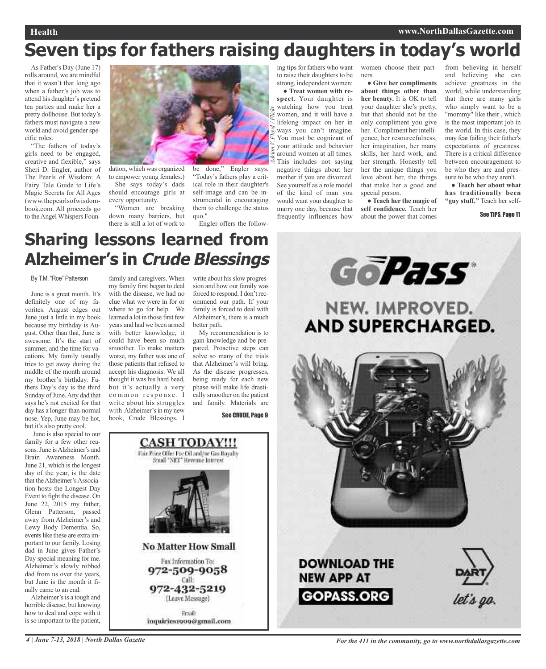### **Health www.NorthDallasGazette.com**

# **Seven tips for fathers raising daughters in today's world**

*A*

*d/ Flickr*

As Father's Day (June 17) rolls around, we are mindful that it wasn't that long ago when a father's job was to attend his daughter's pretend tea parties and make her a pretty dollhouse. But today's fathers must navigate a new world and avoid gender specific roles.

"The fathers of today's girls need to be engaged, creative and flexible," says Sheri D. Engler, author of The Pearls of Wisdom: A Fairy Tale Guide to Life's Magic Secrets for All Ages (www.thepearlsofwisdombook.com. All proceeds go to the Angel Whispers Foun-



dation, which was organized to empower young females.) She says today's dads should encourage girls at

every opportunity. "Women are breaking down many barriers, but there is still a lot of work to

be done," Engler says. "Today's fathers play a critical role in their daughter's self-image and can be instrumental in encouraging them to challenge the status quo."

Engler offers the follow-

ing tips for fathers who want to raise their daughters to be strong, independent women:

*drian V. Floy* ● **Treat women with respect.** Your daughter is watching how you treat women, and it will have a lifelong impact on her in ways you can't imagine. You must be cognizant of your attitude and behavior around women at all times. This includes not saying negative things about her mother if you are divorced. See yourself as a role model of the kind of man you would want your daughter to marry one day, because that frequently influences how

women choose their partners.

● **Give her compliments about things other than her beauty.** It is OK to tell your daughter she's pretty, but that should not be the only compliment you give her. Compliment her intelligence, her resourcefulness, her imagination, her many skills, her hard work, and her strength. Honestly tell her the unique things you love about her, the things that make her a good and special person.

● **Teach her the magic of self confidence.** Teach her about the power that comes

from believing in herself and believing she can achieve greatness in the world, while understanding that there are many girls who simply want to be a "mommy" like their, which is the most important job in the world. In this case, they may fear failing their father's expectations of greatness. There is a critical difference between encouragement to be who they are and pressure to be who they aren't.

● **Teach her about what has traditionally been "guy stuff."** Teach her self-

#### See TIPS, Page 11

## **Sharing lessons learned from Alzheimer's in Crude Blessings**

#### By T.M. "Roe" Patterson

June is a great month. It's definitely one of my favorites. August edges out June just a little in my book because my birthday is August. Other than that, June is awesome. It's the start of summer, and the time for vacations. My family usually tries to get away during the middle of the month around my brother's birthday. Fathers Day's day is the third Sunday of June. Any dad that says he's not excited for that day has a longer-than-normal nose. Yep, June may be hot, but it's also pretty cool.

June is also special to our family for a few other reasons.June isAlzheimer's and Brain Awareness Month. June 21, which is the longest day of the year, is the date that the Alzheimer's Association hosts the Longest Day Event to fight the disease. On June 22, 2015 my father, Glenn Patterson, passed away from Alzheimer's and Lewy Body Dementia. So, events like these are extra important to our family. Losing dad in June gives Father's Day special meaning for me. Alzheimer's slowly robbed dad from us over the years, but June is the month it finally came to an end.

Alzheimer's is a tough and horrible disease, but knowing how to deal and cope with it is so important to the patient,

family and caregivers. When my family first began to deal with the disease, we had no clue what we were in for or where to go for help. We learned a lot in those first few years and had we been armed with better knowledge, it could have been so much smoother. To make matters worse, my father was one of those patients that refused to accept his diagnosis. We all thought it was his hard head, but it's actually a very common response. I write about his struggles with Alzheimer's in my new

write about his slow progression and how our family was forced to respond. I don't recommend our path. If your family is forced to deal with Alzheimer's, there is a much better path.

My recommendation is to gain knowledge and be prepared. Proactive steps can solve so many of the trials that Alzheimer's will bring. As the disease progresses, being ready for each new phase will make life drastically smoother on the patient and family. Materials are

See CRUDE, Page 9



**GoPass** NEW. IMPROVED. **AND SUPERCHARGED. DOWNLOAD THE NEW APP AT GOPASS.ORG** let's go.

4 June 7-13, 2018 North Dallas Gazette Service on For the 411 in the community, go to www.northdallasgazette.com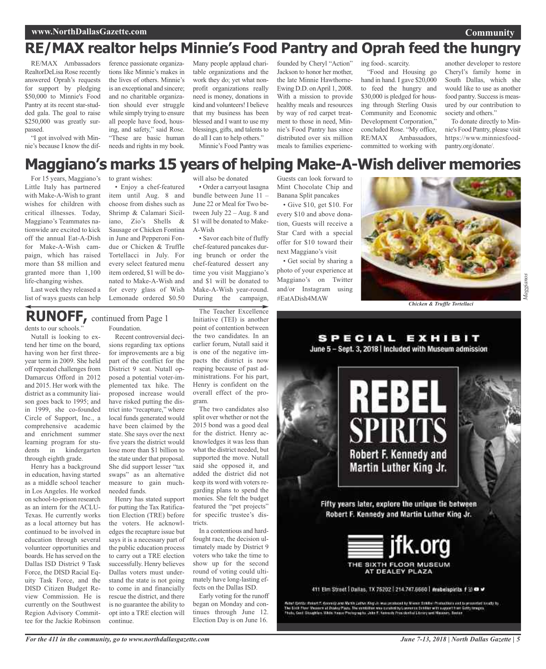### **www.NorthDallasGazette.com**

### **Community**

### **RE/MAX realtor helps Minnie's Food Pantry and Oprah feed the hungry**

RE/MAX Ambassadors RealtorDeLisa Rose recently answered Oprah's requests for support by pledging \$50,000 to Minnie's Food Pantry at its recent star-studded gala. The goal to raise \$250,000 was greatly surpassed.

"I got involved with Minnie's because I know the dif-

ference passionate organizations like Minnie's makes in the lives of others. Minnie's is an exceptional and sincere; and no charitable organization should ever struggle while simply trying to ensure all people have food, housing, and safety," said Rose. "These are basic human needs and rights in my book.

Many people applaud charitable organizations and the work they do; yet what nonprofit organizations really need is money, donations in kind and volunteers!I believe that my business has been blessed and I want to use my blessings, gifts, and talents to do all I can to help others." Minnie's Food Pantry was

founded by Cheryl "Action" Jackson to honor her mother, the late Minnie Hawthorne-Ewing D.D. on April 1, 2008. With a mission to provide healthy meals and resources by way of red carpet treatment to those in need, Minnie's Food Pantry has since distributed over six million meals to families experiencing food-. scarcity.

"Food and Housing go hand in hand. I gave \$20,000 to feed the hungry and \$30,000 is pledged for housing through Sterling Oasis Community and Economic Development Corporation," concluded Rose. "My office, RE/MAX Ambassadors, committed to working with

another developer to restore Cheryl's family home in South Dallas, which she would like to use as another food pantry. Success is measured by our contribution to society and others."

To donate directly to Minnie's Food Pantry, please visit https://www.minniesfoodpantry.org/donate/.

### **Maggiano's marks 15 years of helping Make-A-Wish deliver memories**

For 15 years, Maggiano's Little Italy has partnered with Make-A-Wish to grant wishes for children with critical illnesses. Today, Maggiano's Teammates nationwide are excited to kick off the annual Eat-A-Dish for Make-A-Wish campaign, which has raised more than \$8 million and granted more than 1,100 life-changing wishes.

Last week they released a list of ways guests can help

to grant wishes: • Enjoy a chef-featured

item until Aug. 8 and choose from dishes such as Shrimp & Calamari Siciliano, Zio's Shells & Sausage or Chicken Fontina in June and Pepperoni Fondue or Chicken & Truffle Tortellacci in July. For every select featured menu item ordered, \$1 will be donated to Make-A-Wish and for every glass of Wish Lemonade ordered \$0.50 will also be donated

• Order a carryout lasagna bundle between June 11 – June 22 or Meal for Two between July 22 – Aug. 8 and \$1 will be donated to Make-A-Wish

• Savor each bite of fluffy chef-featured pancakes during brunch or order the chef-featured dessert any time you visit Maggiano's and \$1 will be donated to Make-A-Wish year-round. During the campaign,

Guests can look forward to Mint Chocolate Chip and Banana Split pancakes

• Give \$10, get \$10. For every \$10 and above donation, Guests will receive a Star Card with a special offer for \$10 toward their next Maggiano's visit

• Get social by sharing a photo of your experience at Maggiano's on Twitter and/or Instagram using #EatADish4MAW



*Chicken & Truffle Tortellaci*

### dents to our schools." **RUNOFF,** continued from Page <sup>1</sup>

Nutall is looking to ex-

tend her time on the board, having won her first threeyear term in 2009. She held off repeated challenges from Damarcus Offord in 2012 and 2015. Her work with the district as a community liaison goes back to 1995; and in 1999, she co-founded Circle of Support, Inc., a comprehensive academic and enrichment summer learning program for students in kindergarten through eighth grade.

Henry has a background in education, having started as a middle school teacher in Los Angeles. He worked on school-to-prison research as an intern for the ACLU-Texas. He currently works as a local attorney but has continued to be involved in education through several volunteer opportunities and boards. He has served on the Dallas ISD District 9 Task Force, the DISD Racial Equity Task Force, and the DISD Citizen Budget Review Commission. He is currently on the Southwest Region Advisory Committee for the Jackie Robinson Foundation. Recent controversial deci-

sions regarding tax options for improvements are a big part of the conflict for the District 9 seat. Nutall opposed a potential voter-implemented tax hike. The proposed increase would have risked putting the district into "recapture," where local funds generated would have been claimed by the state. She says over the next five years the district would lose more than \$1 billion to the state under that proposal. She did support lesser "tax swaps" as an alternative measure to gain muchneeded funds.

Henry has stated support for putting the Tax Ratification Election (TRE) before the voters. He acknowledgesthe recapture issue but says it is a necessary part of the public education process to carry out a TRE election successfully. Henry believes Dallas voters must understand the state is not going to come in and financially rescue the district, and there is no guarantee the ability to opt into a TRE election will continue.

The Teacher Excellence Initiative (TEI) is another point of contention between the two candidates. In an earlier forum, Nutall said it is one of the negative impacts the district is now reaping because of past administrations. For his part, Henry is confident on the overall effect of the program.

The two candidates also split over whether or not the 2015 bond was a good deal for the district. Henry acknowledges it was less than what the district needed, but supported the move. Nutall said she opposed it, and added the district did not keep its word with voters regarding plans to spend the monies. She felt the budget featured the "pet projects" for specific trustee's districts.

In a contentious and hardfought race, the decision ultimately made by District 9 voters who take the time to show up for the second round of voting could ultimately have long-lasting effects on the Dallas ISD.

Early voting for the runoff began on Monday and continues through June 12. Election Day is on June 16.



**SPECIAL EXHIBIT** 



411 Elm Street | Dallas, TX 75202 | 214.747.6660 | #rebelspirits f to @ #

Ashet Spatte Pontet F. Georgie and Math Cathet Airp at Museomnad by Noore Sokket From these sed to provented books by<br>The Sixth Flow Museon at Dodey Plaza. The earth fore was catabolity Lourners Schiller with august from G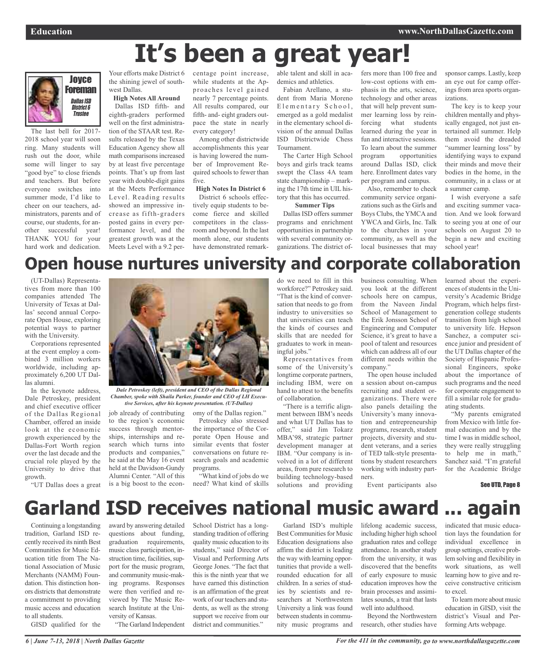# **It's been a great year!**



The last bell for 2017- 2018 school year will soon ring. Many students will rush out the door, while some will linger to say "good bye" to close friends and teachers. But before everyone switches into summer mode, I'd like to cheer on our teachers, administrators, parents and of course, our students, for another successful year! THANK YOU for your hard work and dedication.

the shining jewel of southwest Dallas.

**High Notes All Around** Dallas ISD fifth- and eighth-graders performed well on the first administration of the STAAR test. Results released by the Texas Education Agency show all math comparisons increased by at least five percentage points. That's up from last year with double-digit gains at the Meets Performance Level. Reading results showed an impressive increase as fifth-graders posted gains in every performance level, and the greatest growth was at the Meets Level with a 9.2 per-

Your efforts make District 6 centage point increase, while students at the Approaches level gained nearly 7 percentage points. All results compared, our fifth- and- eight graders outpace the state in nearly every category!

> Among other districtwide accomplishments this year is having lowered the number of Improvement Required schools to fewer than five.

**High Notes In District 6** District 6 schools effectively equip students to become fierce and skilled competitors in the classroom and beyond. In the last month alone, our students have demonstrated remarkable talent and skill in academics and athletics.

Fabian Arellano, a student from Maria Moreno Elementary School, emerged as a gold medalist in the elementary school division of the annual Dallas ISD Districtwide Chess Tournament.

The Carter High School boys and girls track teams swept the Class 4A team state championship – marking the 17th time in UIL history that this has occurred. **Summer Tips**

Dallas ISD offers summer programs and enrichment opportunities in partnership with several community organizations. The district offers more than 100 free and low-cost options with emphasis in the arts, science, technology and other areas that will help prevent summer learning loss by reinforcing what students learned during the year in fun and interactive sessions. To learn about the summer program opportunities around Dallas ISD, click here. Enrollment dates vary per program and campus.

Also, remember to check community service organizations such as the Girls and Boys Clubs, the YMCA and YWCA and Girls, Inc. Talk to the churches in your community, as well as the local businesses that may

sponsor camps. Lastly, keep an eye out for camp offerings from area sports organizations.

The key is to keep your children mentally and physically engaged, not just entertained all summer. Help them avoid the dreaded "summer learning loss" by identifying ways to expand their minds and move their bodies in the home, in the community, in a class or at a summer camp.

I wish everyone a safe and exciting summer vacation. And we look forward to seeing you at one of our schools on August 20 to begin a new and exciting school year!

### **Open house nurtures university and corporate collaboration**

(UT-Dallas) Representatives from more than 100 companies attended The University of Texas at Dallas' second annual Corporate Open House, exploring potential ways to partner with the University.

Corporations represented at the event employ a combined 3 million workers worldwide, including approximately 6,200 UT Dallas alumni.

In the keynote address, Dale Petroskey, president and chief executive officer of the Dallas Regional Chamber, offered an inside look at the economic growth experienced by the Dallas-Fort Worth region over the last decade and the crucial role played by the University to drive that growth.

"UT Dallas does a great



*Dale Petroskey (left), president and CEO of the Dallas Regional Chamber, spoke with Shaila Parker, founder and CEO of LH Executive Services, after his keynote presentation. (UT-Dallas)*

job already of contributing to the region's economic success through mentorships, internships and research which turns into products and companies," he said at the May 16 event held at the Davidson-Gundy Alumni Center. "All of this is a big boost to the econ-

omy of the Dallas region." Petroskey also stressed the importance of the Corporate Open House and similar events that foster conversations on future research goals and academic programs.

"What kind of jobs do we need? What kind of skills do we need to fill in this workforce?" Petroskey said. "That is the kind of conversation that needs to go from industry to universities so that universities can teach the kinds of courses and skills that are needed for graduates to work in meaningful jobs."

Representatives from some of the University's longtime corporate partners, including IBM, were on hand to attest to the benefits of collaboration.

"There is a terrific alignment between IBM's needs and what UT Dallas has to offer," said Jim Tokarz MBA'98, strategic partner development manager at IBM. "Our company is involved in a lot of different areas, from pure research to building technology-based solutions and providing

business consulting. When you look at the different schools here on campus, from the Naveen Jindal School of Management to the Erik Jonsson School of Engineering and Computer Science, it's great to have a pool of talent and resources which can address all of our different needs within the company."

The open house included a session about on-campus recruiting and student organizations. There were also panels detailing the University's many innovation and entrepreneurship programs, research, student projects, diversity and student veterans, and a series of TED talk-style presentations by student researchers working with industry partners.

Event participants also

learned about the experiences of students in the University's Academic Bridge Program, which helps firstgeneration college students transition from high school to university life. Hepson Sanchez, a computer science junior and president of the UT Dallas chapter of the Society of Hispanic Professional Engineers, spoke about the importance of such programs and the need for corporate engagement to fill a similar role for graduating students.

"My parents emigrated from Mexico with little formal education and by the time I was in middle school, they were really struggling to help me in math," Sanchez said. "I'm grateful for the Academic Bridge

See UTD, Page 8

# **Garland ISD receives national music award ... again**

Continuing a longstanding tradition, Garland ISD recently received its ninth Best Communities for Music Education title from The National Association of Music Merchants (NAMM) Foundation. This distinction honors districts that demonstrate a commitment to providing music access and education to all students.

GISD qualified for the

award by answering detailed questions about funding, graduation requirements, music class participation, instruction time, facilities, support for the music program, and community music-making programs. Responses were then verified and reviewed by The Music Research Institute at the University of Kansas.

"The Garland Independent

School District has a longstanding tradition of offering quality music education to its students," said Director of Visual and Performing Arts George Jones. "The fact that this is the ninth year that we have earned this distinction is an affirmation of the great work of our teachers and students, as well as the strong support we receive from our district and communities."

Garland ISD's multiple Best Communities for Music Education designations also affirm the district is leading the way with learning opportunities that provide a wellrounded education for all children. In a series of studies by scientists and researchers at Northwestern University a link was found between students in community music programs and

lifelong academic success, including higher high school graduation rates and college attendance. In another study from the university, it was discovered that the benefits of early exposure to music education improves how the brain processes and assimilates sounds, a trait that lasts well into adulthood.

Beyond the Northwestern research, other studies have indicated that music education lays the foundation for individual excellence in group settings, creative problem solving and flexibility in work situations, as well learning how to give and receive constructive criticism to excel.

To learn more about music education in GISD, visit the district's Visual and Performing Arts webpage.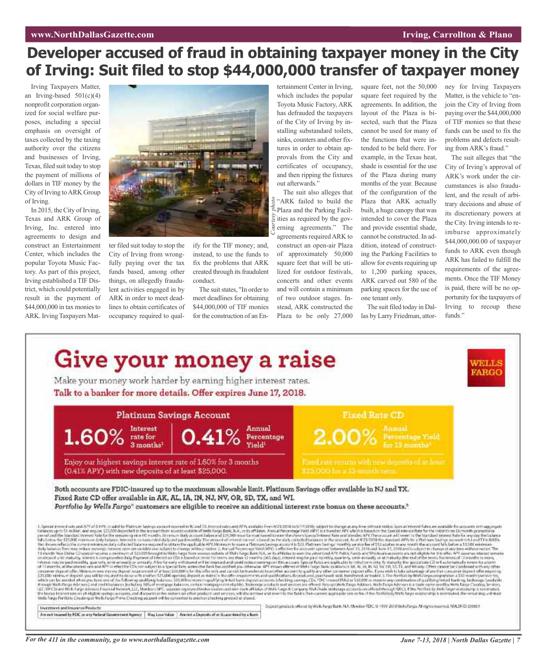### *Entertainmental <b>Entertainment Entertainmental <i>Irving*, Carrollton & Plano

### **Developer accused of fraud in obtaining taxpayer money in the City of Irving: Suit filed to stop \$44,000,000 transfer of taxpayer money**

Irving Taxpayers Matter, an Irving-based  $501(c)(4)$ nonprofit corporation organized for social welfare purposes, including a special emphasis on oversight of taxes collected by the taxing authority over the citizens and businesses of Irving, Texas, filed suit today to stop the payment of millions of dollars in TIF money by the City of Irving toARK Group of Irving.

In 2015, the City of Irving, Texas and ARK Group of Irving, Inc. entered into agreements to design and construct an Entertainment Center, which includes the popular Toyota Music Factory. As part of this project, Irving established a TIF District, which could potentially result in the payment of \$44,000,000 in tax monies to ARK. Irving Taxpayers Mat-



ter filed suit today to stop the City of Irving from wrongfully paying over the tax funds based, among other things, on allegedly fraudulent activities engaged in by ARK in order to meet deadlines to obtain certificates of occupancy required to qualify for the TIF money; and, instead, to use the funds to fix the problems that ARK created through its fraudulent conduct.

The suit states, "In order to meet deadlines for obtaining \$44,000,000 of TIF monies for the construction of an Entertainment Center in Irving, which includes the popular Toyota Music Factory, ARK has defrauded the taxpayers of the City of Irving by installing substandard toilets, sinks, counters and other fixtures in order to obtain approvals from the City and certificates of occupancy, and then ripping the fixtures out afterwards."

The suit also alleges that a "ARK failed to build the <sup>9</sup>/<sub>2</sub> "ARK failed to build the Parking Facilities as required by the gov-<br>
<u>Figure as</u> erning agreements." The erning agreements." The agreements required ARK to

construct an open-air Plaza of approximately 50,000 square feet that will be utilized for outdoor festivals, concerts and other events and will contain a minimum of two outdoor stages. Instead, ARK constructed the Plaza to be only 27,000 square feet, not the 50,000 square feet required by the agreements. In addition, the layout of the Plaza is bisected, such that the Plaza cannot be used for many of the functions that were intended to be held there. For example, in the Texas heat, shade is essential for the use of the Plaza during many months of the year. Because of the configuration of the Plaza that ARK actually built, a huge canopy that was intended to cover the Plaza and provide essential shade, cannot be constructed. In addition, instead of constructing the Parking Facilities to allow for events requiring up to 1,200 parking spaces, ARK carved out 580 of the parking spaces for the use of one tenant only.

The suit filed today in Dallas by Larry Friedman, attorney for Irving Taxpayers Matter, is the vehicle to "enjoin the City of Irving from paying over the \$44,000,000 of TIF monies so that these funds can be used to fix the problems and defects resulting from ARK's fraud."

The suit alleges that "the City of Irving's approval of ARK's work under the circumstances is also fraudulent, and the result of arbitrary decisions and abuse of its discretionary powers at the City. Irving intends to reimburse approximately \$44,000,000.00 of taxpayer funds to ARK even though ARK has failed to fulfill the requirements of the agreements. Once the TIF Money is paid, there will be no opportunity for the taxpayers of Irving to recoup these funds."

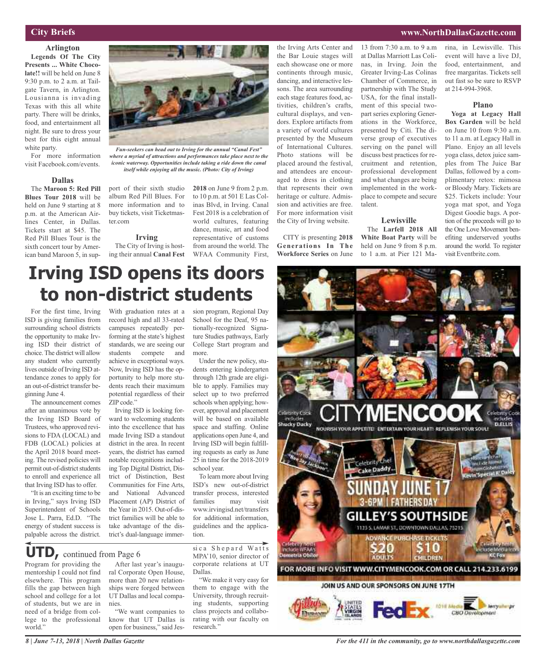### **City Briefs**

**Arlington Legends Of The City Presents ... White Chocolate!!** will be held on June 8 9:30 p.m. to 2 a.m. at Tailgate Tavern, in Arlington. Lousianna is invading Texas with this all white party. There will be drinks, food, and entertainment all night. Be sure to dress your best for this eight annual white party.

For more information visit Facebook.com/events.

#### **Dallas**

The **Maroon 5: Red Pill Blues Tour 2018** will be held on June 9 starting at 8 p.m. at the American Airlines Center, in Dallas. Tickets start at \$45. The Red Pill Blues Tour is the sixth concert tour by American band Maroon 5, in sup-



*Fun-seekers can head out to Irving for the annual "Canal Fest" where a myriad of attractions and performances take place next to the iconic waterway. Opportunities include taking a ride down the canal itself while enjoying all the music. (Photo: City of Irving)*

port of their sixth studio **2018** on June 9 from 2 p.m. album Red Pill Blues. For more information and to buy tickets, visit Ticketmaster.com

### **Irving**

The City of Irving is hosting their annual **Canal Fest**

to 10 p.m. at 501 E Las Colinas Blvd, in Irving. Canal Fest 2018 is a celebration of world cultures, featuring dance, music, art and food representative of customs from around the world. The WFAA Community First,

the Irving Arts Center and the Bar Louie stages will each showcase one or more continents through music, dancing, and interactive lessons. The area surrounding each stage features food, activities, children's crafts, cultural displays, and vendors. Explore artifacts from a variety of world cultures presented by the Museum of International Cultures. Photo stations will be placed around the festival, and attendees are encouraged to dress in clothing that represents their own heritage or culture. Admission and activities are free. For more information visit the City of Irving website.

CITY is presenting **2018 Generations In The Workforce Series** on June

13 from 7:30 a.m. to 9 a.m at Dallas Marriott Las Colinas, in Irving. Join the Greater Irving-Las Colinas Chamber of Commerce, in partnership with The Study USA, for the final installment of this special twopart series exploring Generations in the Workforce, presented by Citi. The diverse group of executives serving on the panel will discuss best practices for recruitment and retention, professional development and what changes are being implemented in the workplace to compete and secure talent.

### **Lewisville**

The **Larfell 2018 All White Boat Party** will be held on June 9 from 8 p.m. to 1 a.m. at Pier 121 Ma-

#### rina, in Lewisville. This event will have a live DJ, food, entertainment, and free margaritas. Tickets sell out fast so be sure to RSVP at 214-994-3968.

#### **Plano**

**Yoga at Legacy Hall Box Garden** will be held on June 10 from 9:30 a.m. to 11 a.m. at Legacy Hall in Plano. Enjoy an all levels yoga class, detox juice samples from The Juice Bar Dallas, followed by a complimentary retox: mimosa or Bloody Mary. Tickets are \$25. Tickets include: Your yoga mat spot, and Yoga Digest Goodie bags. A portion of the proceeds will go to the One Love Movement benefiting underserved youths around the world. To register visit Eventbrite.com.

### **www.NorthDallasGazette.com**

# **Irving ISD opens its doors to non-district students**

For the first time, Irving ISD is giving families from surrounding school districts the opportunity to make Irving ISD their district of choice.The district will allow any student who currently lives outside of Irving ISD attendance zones to apply for an out-of-district transfer beginning June 4.

The announcement comes after an unanimous vote by the Irving ISD Board of Trustees, who approved revisions to FDA (LOCAL) and FDB (LOCAL) policies at the April 2018 board meeting. The revised policies will permit out-of-district students to enroll and experience all that Irving ISD has to offer.

"It is an exciting time to be in Irving," says Irving ISD Superintendent of Schools Jose L. Parra, Ed.D. "The energy of student success is palpable across the district.

With graduation rates at a record high and all 33-rated campuses repeatedly performing at the state's highest standards, we are seeing our students compete and achieve in exceptional ways. Now, Irving ISD has the opportunity to help more students reach their maximum potential regardless of their ZIP code."

Irving ISD is looking forward to welcoming students into the excellence that has made Irving ISD a standout district in the area. In recent years, the district has earned notable recognitions including Top Digital District, District of Distinction, Best Communities for Fine Arts, and National Advanced Placement (AP) District of the Year in 2015. Out-of-district families will be able to take advantage of the district's dual-language immer-

sion program, Regional Day School for the Deaf, 95 nationally-recognized Signature Studies pathways, Early College Start program and more.

Under the new policy, students entering kindergarten through 12th grade are eligible to apply. Families may select up to two preferred schools when applying; however, approval and placement will be based on available space and staffing. Online applications open June 4, and Irving ISD will begin fulfilling requests as early as June 25 in time for the 2018-2019 school year.

To learn more about Irving ISD's new out-of-district transfer process, interested families may visit www.irvingisd.net/transfers for additional information, guidelines and the application.

Program for providing the **UTD,** continued from Page <sup>6</sup>

mentorship I could not find elsewhere. This program fills the gap between high school and college for a lot of students, but we are in need of a bridge from college to the professional world."

After last year's inaugu-

ral Corporate Open House, more than 20 new relationships were forged between UT Dallas and local companies.

"We want companies to know that UT Dallas is open for business," said Jessica Shepard Watts MPA'10, senior director of corporate relations at UT Dallas.

"We make it very easy for them to engage with the University, through recruiting students, supporting class projects and collaborating with our faculty on research."

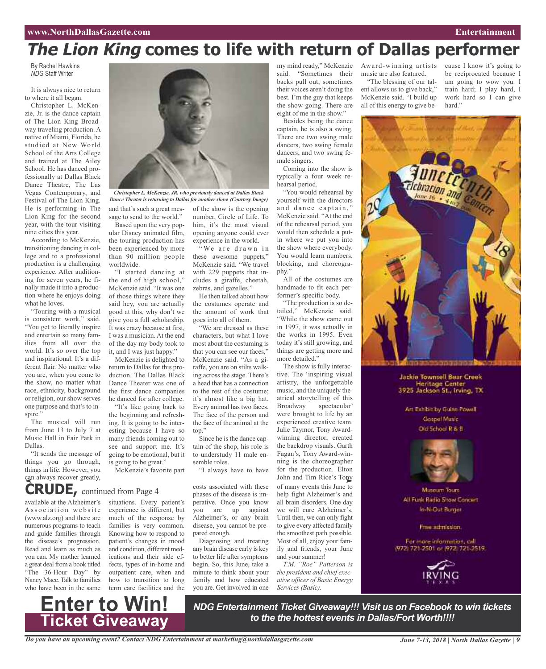# **The Lion King comes to life with return of Dallas performer**

By Rachel Hawkins *NDG* Staff Writer

It is always nice to return to where it all began.

Christopher L. McKenzie, Jr. is the dance captain of The Lion King Broadway traveling production. A native of Miami, Florida, he studied at New World School of the Arts College and trained at The Ailey School. He has danced professionally at Dallas Black Dance Theatre, The Las Vegas Contemporary, and Festival of The Lion King. He is performing in The Lion King for the second year, with the tour visiting nine cities this year.

According to McKenzie, transitioning dancing in college and to a professional production is a challenging experience. After auditioning for seven years, he finally made it into a production where he enjoys doing what he loves.

"Touring with a musical is consistent work," said. "You get to literally inspire and entertain so many families from all over the world. It's so over the top and inspirational. It's a different flair. No matter who you are, when you come to the show, no matter what race, ethnicity, background or religion, our show serves one purpose and that's to inspire."

The musical will run from June 13 to July 7 at Music Hall in Fair Park in Dallas.

"It sends the message of things you go through, things in life. However, you can always recover greatly,



*Christopher L. McKenzie, JR. who previously danced at Dallas Black Dance Theater is returning to Dallas for another show. (Courtesy Image)*

> of the show is the opening number, Circle of Life. To him, it's the most visual opening anyone could ever experience in the world. "We are drawn in these awesome puppets," McKenzie said. "We travel with 229 puppets that includes a giraffe, cheetah, zebras, and gazelles."

He then talked about how the costumes operate and the amount of work that goes into all of them.

"We are dressed as these characters, but what I love most about the costuming is that you can see our faces," McKenzie said. "As a giraffe, you are on stilts walking across the stage. There's a head that has a connection to the rest of the costume; it's almost like a big hat. Every animal has two faces. The face of the person and the face of the animal at the

and that's such a great message to send to the world." Based upon the very pop-

ular Disney animated film, the touring production has been experienced by more than 90 million people worldwide.

"I started dancing at the end of high school," McKenzie said. "It was one of those things where they said hey, you are actually good at this, why don't we give you a full scholarship. It was crazy because at first, I was a musician. At the end of the day my body took to it, and I was just happy."

McKenzie is delighted to return to Dallas for this production. The Dallas Black Dance Theater was one of the first dance companies he danced for after college.

"It's like going back to the beginning and refreshing. It is going to be interesting because I have so many friends coming out to see and support me. It's going to be emotional, but it is going to be great."

top."

semble roles.

pared enough.

McKenzie's favorite part

### **CRUDE,** continued from Page <sup>4</sup>

available at the Alzheimer's Association website (www.alz.org) and there are numerous programs to teach and guide families through the disease's progression. Read and learn as much as you can. My mother learned a great deal from a book titled "The 36-Hour Day" by Nancy Mace. Talk to families who have been in the same

situations. Every patient's experience is different, but much of the response by families is very common. Knowing how to respond to patient's changes in mood and condition, different medications and their side effects, types of in-home and outpatient care, when and how to transition to long term care facilities and the

costs associated with these phases of the disease is imperative. Once you know you are up against Alzheimer's, or any brain disease, you cannot be pre-

Since he is the dance captain of the shop, his role is to understudy 11 male en-

"I always have to have

Diagnosing and treating any brain disease early is key to better life after symptoms begin. So, this June, take a minute to think about your family and how educated you are. Get involved in one

my mind ready," McKenzie said. "Sometimes their backs pull out; sometimes their voices aren't doing the best. I'm the guy that keeps the show going. There are eight of me in the show."

Besides being the dance captain, he is also a swing. There are two swing male dancers, two swing female dancers, and two swing female singers.

Coming into the show is typically a four week rehearsal period.

"You would rehearsal by yourself with the directors and dance captain," McKenzie said. "At the end of the rehearsal period, you would then schedule a putin where we put you into the show where everybody. You would learn numbers, blocking, and choreography."

All of the costumes are handmade to fit each performer's specific body.

"The production is so detailed," McKenzie said. "While the show came out in 1997, it was actually in the works in 1995. Even today it's still growing, and things are getting more and more detailed."

The show is fully interactive. The 'inspiring visual artistry, the unforgettable music, and the uniquely theatrical storytelling of this Broadway spectacular' were brought to life by an experienced creative team. Julie Taymor, Tony Awardwinning director, created the backdrop visuals. Garth Fagan's, Tony Award-winning is the choreographer for the production. Elton John and Tim Rice's Tony of many events this June to help fight Alzheimer's and all brain disorders. One day we will cure Alzheimer's. Until then, we can only fight to give every affected family the smoothest path possible. Most of all, enjoy your family and friends, your June and your summer!

*T.M. "Roe" Patterson is the president and chief executive officer of Basic Energy Services (Basic).*

Award-winning artists music are also featured. "The blessing of our tal-

ent allows us to give back," McKenzie said. "I build up all of this energy to give because I know it's going to be reciprocated because I am going to wow you. I train hard; I play hard, I work hard so I can give hard."



**Jackie Townsell Bear Creek** Heritage Center<br>3925 Jackson St., Irving, TX

Art Exhibit by Guinn Powell Gospel Masic Old School R & B



Museum Tours All Funk Radio Show Concert In-N-Out Burger

Free admission.

For more information, call (972) 721-2501 or (972) 721-2519.



**Enter to Win! Ticket Giveaway**

*NDG Entertainment Ticket Giveaway!!! Visit us on Facebook to win tickets to the the hottest events in Dallas/Fort Worth!!!!*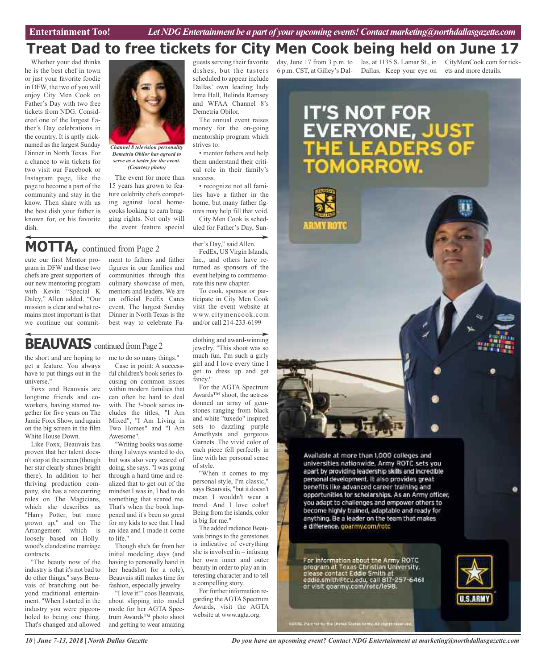### **Treat Dad to free tickets for City Men Cook being held on June 17**

Whether your dad thinks he is the best chef in town or just your favorite foodie in DFW, the two of you will enjoy City Men Cook on Father's Day with two free tickets from NDG. Considered one of the largest Father's Day celebrations in the country. It is aptly nicknamed as the largest Sunday Dinner in North Texas. For a chance to win tickets for two visit our Facebook or Instagram page, like the page to become a part of the community and stay in the know. Then share with us the best dish your father is known for, or his favorite dish.



*Channel 8 television personality Demetria Obilor has agreed to serve as a taster for the event. (Courtesy photo)*

The event for more than 15 years has grown to feature celebrity chefs competing against local homecooks looking to earn bragging rights. Not only will the event feature special guests serving their favorite dishes, but the tasters scheduled to appear include Dallas' own leading lady Irma Hall, Belinda Ramsey and WFAA Channel 8's Demetria Obilor.

The annual event raises money for the on-going mentorship program which strives to:

• mentor fathers and help them understand their critical role in their family's success.

• recognize not all families have a father in the home, but many father figures may help fill that void.

City Men Cook is scheduled for Father's Day, Sun-

ther's Day," said Allen.

### **MOTTA,** continued from Page <sup>2</sup>

cute our first Mentor program in DFW and these two chefs are great supporters of our new mentoring program with Kevin "Special K Daley," Allen added. "Our mission is clear and what remains most important is that we continue our commitment to fathers and father figures in our families and communities through this culinary showcase of men, mentors and leaders. We are an official FedEx Cares event. The largest Sunday Dinner in North Texas is the best way to celebrate Fa-

FedEx, US Virgin Islands, Inc., and others have returned as sponsors of the

event helping to commemorate this new chapter. To cook, sponsor or participate in City Men Cook visit the event website at www.citymencook.com and/or call 214-233-6199

### **BEAUVAIS** continued from Page 2

the short and are hoping to get a feature. You always have to put things out in the universe."

Foxx and Beauvais are longtime friends and coworkers, having starred together for five years on The Jamie Foxx Show, and again on the big screen in the film White House Down.

Like Foxx, Beauvais has proven that her talent doesn'tstop at the screen (though her star clearly shines bright there). In addition to her thriving production company, she has a reoccurring roles on The Magicians, which she describes as "Harry Potter, but more grown up," and on The Arrangement which is loosely based on Hollywood's clandestine marriage contracts.

"The beauty now of the industry is that it's not bad to do other things," says Beauvais of branching out beyond traditional entertainment. "When I started in the industry you were pigeonholed to being one thing. That's changed and allowed me to do so many things." Case in point: A successful children's book series focusing on common issues within modern families that can often be hard to deal with. The 3-book series includes the titles, "I Am Mixed", "I Am Living in Two Homes" and "I Am Awesome".

"Writing books was something I always wanted to do, but was also very scared of doing, she says. "I was going through a hard time and realized that to get out of the mindset I was in, I had to do something that scared me. That's when the book happened and it's been so great for my kids to see that I had an idea and I made it come to life."

Though she's far from her initial modeling days (and having to personally hand in her headshot for a role), Beauvaisstill makestime for fashion, especially jewelry.

"I love it!" coos Beauvais, about slipping into model mode for her AGTA Spectrum Awards™ photo shoot and getting to wear amazing clothing and award-winning jewelry. "This shoot was so much fun. I'm such a girly girl and I love every time I get to dress up and get fancy."

For the AGTA Spectrum Awards™ shoot, the actress donned an array of gemstones ranging from black and white "tuxedo" inspired sets to dazzling purple Amethysts and gorgeous Garnets. The vivid color of each piece fell perfectly in line with her personal sense of style.

"When it comes to my personal style, I'm classic," says Beauvais, "but it doesn't mean I wouldn't wear a trend. And I love color! Being from the islands, color is big for me."

The added radiance Beauvais brings to the gemstones is indicative of everything she is involved in  $-$  infusing her own inner and outer beauty in order to play an interesting character and to tell a compelling story.

For further information regarding the AGTA Spectrum Awards, visit the AGTA website at www.agta.org.

6 p.m. CST, at Gilley's Dal-Dallas. Keep your eye on ets and more details.

day, June 17 from 3 p.m. to las, at 1135 S. Lamar St., in CityMenCook.com for tick-



*Do you have an upcoming event? Contact NDG Entertainment at marketing@northdallasgazette.com*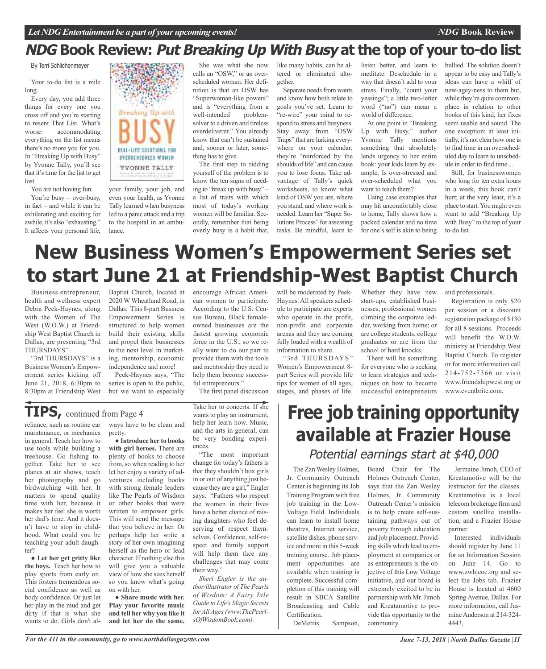### **NDG Book Review: Put Breaking Up With Busy at the top of your to-do list**

By Terri Schlichenmeyer

Your to-do list is a mile long.

Every day, you add three things for every one you cross off and you're starting to resent That List. What's worse: accommodating everything on the list means there's no more you for you. In "Breaking Up with Busy" by Yvonne Tally, you'll see that it's time for the list to get lost.

You are not having fun.

You're busy – over-busy, in fact – and while it can be exhilarating and exciting for awhile, it's also "exhausting." It affects your personal life,



your family, your job, and even your health, as Yvonne Tally learned when busyness led to a panic attack and a trip to the hospital in an ambulance.

She was what she now calls an "OSW," or an overscheduled woman. Her definition is that an OSW has "Superwoman-like powers" and is "everything from a well-intended problemsolver to a driven and tireless overdeliverer." You already know that can't be sustained and, sooner or later, something has to give.

The first step to ridding yourself of the problem is to know the ten signs of needing to "break up with busy" – a list of traits with which most of today's working women will be familiar. Secondly, remember that being overly busy is a habit that,

encourage African American women to participate. According to the U.S. Census Bureau, Black femaleowned businesses are the fastest growing economic force in the U.S., so we really want to do our part to provide them with the tools and mentorship they need to help them become success-

like many habits, can be altered or eliminated altogether.

Separate needs from wants and know how both relate to goals you've set. Learn to "re-wire" your mind to respond to stress and busyness. Stay away from "OSW Traps" that are lurking everywhere on your calendar; they're "reinforced by the shoulds of life" and can cause you to lose focus. Take advantage of Tally's quick worksheets, to know what kind of OSW you are, where you stand, and where work is needed. Learn her "Super Solutions Process" for assessing tasks. Be mindful, learn to listen better, and learn to meditate. Deschedule in a way that doesn't add to your stress. Finally, "count your yessings"; a little two-letter word ("no") can mean a world of difference.

At one point in "Breaking Up with Busy," author Yvonne Tally mentions something that absolutely lends urgency to her entire book: your kids learn by example. Is over-stressed and over-scheduled what you want to teach them?

Using case examples that may hit uncomfortably close to home, Tally shows how a packed calendar and no time for one's self is akin to being bullied. The solution doesn't appear to be easy and Tally's ideas can have a whiff of new-agey-ness to them but, while they're quite commonplace in relation to other books of this kind, her fixes seem usable and sound. The one exception: at least initially, it's not clear how one is to find time in an overscheduled day to learn to unschedule in order to find time…

*NDG* **Book Review**

Still, for businesswomen who long for ten extra hours in a week, this book can't hurt; at the very least, it's a place to start.You might even want to add "Breaking Up with Busy" to the top of your to-do list.

# **New Business Women's Empowerment Series set to start June 21 at Friendship-West Baptist Church**

Business entrepreneur, health and wellness expert Debra Peek-Haynes, along with the Women of The West (W.O.W.) at Friendship West Baptist Church in Dallas, are presenting "3rd THURSDAYS".

"3rd THURSDAYS" is a Business Women's Empowerment series kicking off June 21, 2018, 6:30pm to 8:30pm at Friendship West

Baptist Church, located at 2020 W Wheatland Road, in Dallas. This 8-part Business Empowerment Series is structured to help women build their existing skills and propel their businesses to the next level in marketing, mentorship, economic independence and more!

Peek-Haynes says, "The series is open to the public, but we want to especially

### **TIPS,** continued from Page <sup>4</sup>

reliance, such as routine car maintenance, or mechanics in general. Teach her how to use tools while building a treehouse. Go fishing together. Take her to see planes at air shows, teach her photography and go birdwatching with her. It matters to spend quality time with her, because it makes her feel she is worth her dad's time. And it doesn't have to stop in childhood. What could you be teaching your adult daughter?

● **Let her get gritty like the boys.** Teach her how to play sports from early on. This fosters tremendous social confidence as well as body confidence. Or just let her play in the mud and get dirty if that is what she wants to do. Girls don't always have to be clean and pretty.

● **Introduce her to books with girl heroes.** There are plenty of books to choose from,so when reading to her let her enjoy a variety of adventures including books with strong female leaders like The Pearls of Wisdom or other books that were written to empower girls. This will send the message that you believe in her. Or perhaps help her write a story of her own imagining herself as the hero or lead character. If nothing else this will give you a valuable view of how she sees herself so you know what's going on with her.

● **Share music with her. Play your favorite music and tell her why you like it and let her do the same.** Take her to concerts. If she wants to play an instrument, help her learn how. Music, and the arts in general, can be very bonding experiences.

The first panel discussion

ful entrepreneurs."

"The most important change for today's fathers is that they shouldn't box girls in or out of anything just because they are a girl," Engler says. "Fathers who respect the women in their lives have a better chance of raising daughters who feel deserving of respect themselves. Confidence, self-respect and family support will help them face any challenges that may come their way."

*Sheri Engler is the author/illustrator of The Pearls of Wisdom: A Fairy Tale Guide to Life's Magic Secrets for All Ages(www.ThePearlsOfWisdomBook.com).*

will be moderated by Peek-Haynes. All speakers schedule to participate are experts who operate in the profit, non-profit and corporate arenas and they are coming fully loaded with a wealth of information to share.

"3rd THURSDAYS" Women's Empowerment 8 part Series will provide life tips for women of all ages, stages, and phases of life.

Whether they have new start-ups, established businesses, professional women climbing the corporate ladder, working from home; or are college students, college graduates or are from the school of hard knocks.

There will be something for everyone who is seeking to learn strategies and techniques on how to become successful entrepreneurs and professionals.

Registration is only \$20 per session or a discount registration package of \$130 for all 8 sessions. Proceeds will benefit the W.O.W. ministry at Friendship West Baptist Church. To register or for more information call 214-752-7366 or visit www.friendshipwest.org or www.eventbrite.com.

## **Free job training opportunity available at Frazier House** Potential earnings start at \$40,000

The Zan Wesley Holmes, Jr. Community Outreach Center is beginning its Job Training Program with free job training in the Low-Voltage Field. Individuals can learn to install home theatres, Internet service, satellite dishes, phone service and more in this 5-week training course. Job placement opportunities are available when training is complete. Successful completion of this training will result in SBCA Satellite Broadcasting and Cable Certification.

DeMetris Sampson,

Board Chair for The Holmes Outreach Center, says that the Zan Wesley Holmes, Jr. Community Outreach Center's mission is to help create self-sustaining pathways out of poverty through education and job placement. Providing skills which lead to employment at companies or as entrepreneurs is the objective of this Low Voltage initiative, and our board is extremely excited to be in partnership with Mr.Jimoh and Kreatamotive to provide this opportunity to the community.

Jermaine Jimoh, CEO of Kreatamotive will be the instructor for the classes. Kreatamotive is a local telecom brokerage firm and custom satellite installation, and a Frazier House partner.

Interested individuals should register by June 11 for an Information Session on June 14. Go to www.zwhjcoc.org and select the Jobs tab. Frazier House is located at 4600 Spring Avenue, Dallas. For more information, call JasmineAnderson at 214-324- 4443,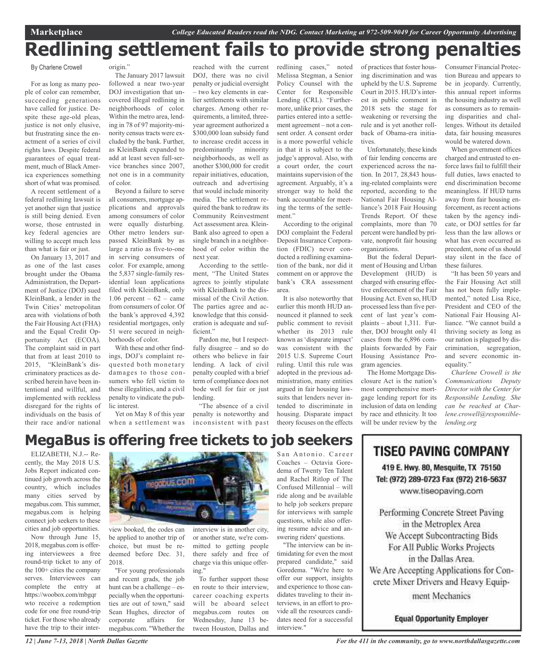# **Redlining settlement fails to provide strong penalties**

By Charlene Crowell

For as long as many people of color can remember, succeeding generations have called for justice. Despite these age-old pleas, justice is not only elusive, but frustrating since the enactment of a series of civil rights laws. Despite federal guarantees of equal treatment, much of Black America experiences something short of what was promised.

A recent settlement of a federal redlining lawsuit is yet another sign that justice is still being denied. Even worse, those entrusted in key federal agencies are willing to accept much less than what is fair or just.

On January 13, 2017 and as one of the last cases brought under the Obama Administration, the Department of Justice (DOJ) sued KleinBank, a lender in the Twin Cities' metropolitan area with violations of both the Fair Housing Act (FHA) and the Equal Credit Opportunity Act (ECOA). The complaint said in part that from at least 2010 to 2015, "KleinBank's discriminatory practices as described herein have been intentional and willful, and implemented with reckless disregard for the rights of individuals on the basis of their race and/or national origin."

The January 2017 lawsuit followed a near two-year DOJ investigation that uncovered illegal redlining in neighborhoods of color. Within the metro area, lending in 78 of 97 majority-minority census tracts were excluded by the bank. Further, as KleinBank expanded to add at least seven full-service branches since 2007, not one is in a community of color.

Beyond a failure to serve all consumers, mortgage applications and approvals among consumers of color were equally disturbing. Other metro lenders surpassed KleinBank by as large a ratio as five-to-one in serving consumers of color. For example, among the 5,837 single-family residential loan applications filed with KleinBank, only 1.06 percent –  $62$  – came from consumers of color. Of the bank's approved 4,392 residential mortgages, only 51 were secured in neighborhoods of color.

With these and other findings, DOJ's complaint requested both monetary damages to those consumers who fell victim to these illegalities, and a civil penalty to vindicate the public interest.

Yet on May 8 of this year

reached with the current DOJ, there was no civil penalty or judicial oversight – two key elements in earlier settlements with similar charges. Among other requirements, a limited, threeyear agreement authorized a \$300,000 loan subsidy fund to increase credit access in predominantly minority neighborhoods, as well as another \$300,000 for credit repair initiatives, education, outreach and advertising that would include minority media. The settlement required the bank to redraw its Community Reinvestment Act assessment area. Klein-Bank also agreed to open a single branch in a neighborhood of color within the next year.

According to the settlement, "The United States agrees to jointly stipulate with KleinBank to the dismissal of the Civil Action. The parties agree and acknowledge that this consideration is adequate and sufficient."

Pardon me, but I respectfully disagree – and so do others who believe in fair lending. A lack of civil penalty coupled with a brief term of compliance does not bode well for fair or just lending.

when a settlement was inconsistent with past "The absence of a civil penalty is noteworthy and

redlining cases," noted Melissa Stegman, a Senior Policy Counsel with the Center for Responsible Lending (CRL). "Furthermore, unlike prior cases, the parties entered into a settlement agreement – not a consent order. A consent order is a more powerful vehicle in that it is subject to the judge's approval. Also, with a court order, the court maintains supervision of the agreement. Arguably, it's a stronger way to hold the bank accountable for meeting the terms of the settlement."

According to the original DOJ complaint the Federal Deposit Insurance Corporation (FDIC) never conducted a redlining examination of the bank, nor did it comment on or approve the bank's CRA assessment area.

It is also noteworthy that earlier this month HUD announced it planned to seek public comment to revisit whether its 2013 rule known as 'disparate impact' was consistent with the 2015 U.S. Supreme Court ruling. Until this rule was adopted in the previous administration, many entities argued in fair housing lawsuits that lenders never intended to discriminate in housing. Disparate impact theory focuses on the effects

of practices that foster housing discrimination and was upheld by the U.S. Supreme Court in 2015. HUD's interest in public comment in 2018 sets the stage for weakening or reversing the rule and is yet another rollback of Obama-era initiatives.

Unfortunately, these kinds of fair lending concerns are experienced across the nation. In 2017, 28,843 housing-related complaints were reported, according to the National Fair Housing Alliance's 2018 Fair Housing Trends Report. Of these complaints, more than 70 percent were handled by private, nonprofit fair housing organizations.

But the federal Department of Housing and Urban Development (HUD) is charged with ensuring effective enforcement of the Fair HousingAct. Even so, HUD processed less than five percent of last year's complaints – about 1,311. Further, DOJ brought only 41 cases from the 6,896 complaints forwarded by Fair Housing Assistance Program agencies.

The Home Mortgage Disclosure Act is the nation's most comprehensive mortgage lending report for its inclusion of data on lending by race and ethnicity. It too will be under review by the

Consumer Financial Protection Bureau and appears to be in jeopardy. Currently, this annual report informs the housing industry as well as consumers as to remaining disparities and challenges. Without its detailed data, fair housing measures would be watered down.

When government offices charged and entrusted to enforce laws fail to fulfill their full duties, laws enacted to end discrimination become meaningless. If HUD turns away from fair housing enforcement, as recent actions taken by the agency indicate, or DOJ settles for far less than the law allows or what has even occurred as precedent, none of us should stay silent in the face of these failures.

"It has been 50 years and the Fair Housing Act still has not been fully implemented," noted Lisa Rice, President and CEO of the National Fair Housing Alliance. "We cannot build a thriving society as long as our nation is plagued by discrimination, segregation, and severe economic inequality."

*Charlene Crowell is the Communications Deputy Director with the Center for Responsible Lending. She can be reached at Charlene.crowell@responsiblelending.org*

### **MegaBus is offering free tickets to job seekers**

ELIZABETH, N.J.-- Recently, the May 2018 U.S. Jobs Report indicated continued job growth across the country, which includes many cities served by megabus.com. This summer, megabus.com is helping connect job seekers to these cities and job opportunities.

Now through June 15, 2018, megabus.com is offering interviewees a free round-trip ticket to any of the 100+ cities the company serves. Interviewees can complete the entry at https://woobox.com/mbgqr wto receive a redemption code for one free round-trip ticket. For those who already have the trip to their inter-



view booked, the codes can be applied to another trip of choice, but must be redeemed before Dec. 31, 2018.

"For young professionals and recent grads, the job hunt can be a challenge – especially when the opportunities are out of town," said Sean Hughes, director of corporate affairs for megabus.com. "Whether the

interview is in another city, or another state, we're committed to getting people there safely and free of charge via this unique offering."

To further support those en route to their interview, career coaching experts will be aboard select megabus.com routes on Wednesday, June 13 between Houston, Dallas and

San Antonio. Career Coaches – Octavia Goredema of Twenty Ten Talent and Rachel Ritlop of The Confused Millennial – will ride along and be available to help job seekers prepare for interviews with sample questions, while also offering resume advice and answering riders' questions.

"The interview can be intimidating for even the most prepared candidate," said Goredema. "We're here to offer our support, insights and experience to those candidates traveling to their interviews, in an effort to provide all the resources candidates need for a successful interview."

### **TISEO PAVING COMPANY**

419 E. Hwy. 80, Mesquite, TX 75150 Tel: (972) 289-0723 Fax (972) 216-5637 www.tiseopaving.com

Performing Concrete Street Paving in the Metroplex Area We Accept Subcontracting Bids For All Public Works Projects in the Dallas Area. We Are Accepting Applications for Concrete Mixer Drivers and Heavy Equipment Mechanics

**Equal Opportunity Employer**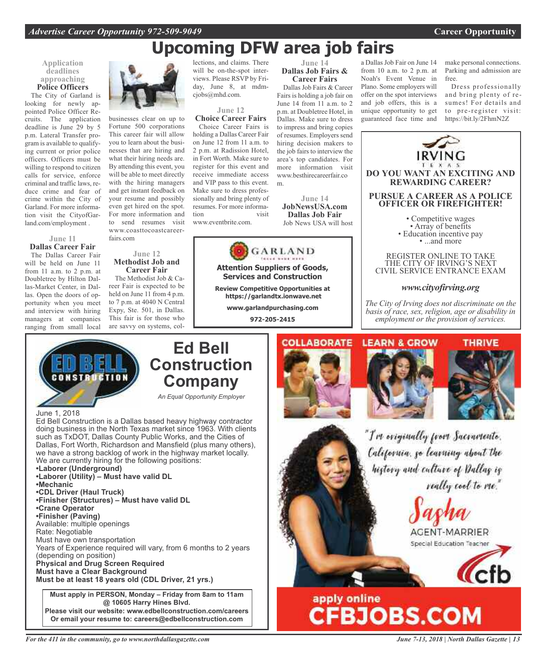# **Upcoming DFW area job fairs**

### **Application deadlines approaching Police Officers**

The City of Garland is looking for newly appointed Police Officer Recruits. The application deadline is June 29 by 5 p.m. Lateral Transfer program is available to qualifying current or prior police officers. Officers must be willing to respond to citizen calls for service, enforce criminal and traffic laws, reduce crime and fear of crime within the City of Garland. For more information visit the CityofGarland.com/employment .

**June 11 Dallas Career Fair** The Dallas Career Fair will be held on June 11 from 11 a.m. to 2 p.m. at Doubletree by Hilton Dallas-Market Center, in Dallas. Open the doors of opportunity when you meet and interview with hiring managers at companies ranging from small local

June 1, 2018

CONSTR

**•Mechanic**

**•Crane Operator •Finisher (Paving)**

Rate: Negotiable

**•Laborer (Underground)**

**•CDL Driver (Haul Truck)**

Available: multiple openings

Must have own transportation

**Physical and Drug Screen Required Must have a Clear Background**

(depending on position)



businesses clear on up to Fortune 500 corporations This career fair will allow you to learn about the businesses that are hiring and what their hiring needs are. By attending this event, you will be able to meet directly with the hiring managers and get instant feedback on your resume and possibly even get hired on the spot. For more information and to send resumes visit www.coasttocoastcareerfairs.com

#### **June 12 Methodist Job and Career Fair**

The Methodist Job & Career Fair is expected to be held on June 11 from 4 p.m. to 7 p.m. at 4040 N Central Expy, Ste. 501, in Dallas. This fair is for those who are savvy on systems, col-

Ed Bell Construction is a Dallas based heavy highway contractor doing business in the North Texas market since 1963. With clients such as TxDOT, Dallas County Public Works, and the Cities of Dallas, Fort Worth, Richardson and Mansfield (plus many others), we have a strong backlog of work in the highway market locally.

Years of Experience required will vary, from 6 months to 2 years

**Must apply in PERSON, Monday – Friday from 8am to 11am @ 10605 Harry Hines Blvd. Please visit our website: www.edbellconstruction.com/careers**

We are currently hiring for the following positions:

**•Finisher (Structures) – Must have valid DL**

**•Laborer (Utility) – Must have valid DL**

lections, and claims. There will be on-the-spot interviews. Please RSVP by Friday, June 8, at mdmciobs@mhd.com.

### **June 12 Choice Career Fairs**

Choice Career Fairs is holding a Dallas Career Fair on June 12 from 11 a.m. to 2 p.m. at Radission Hotel, in Fort Worth. Make sure to register for this event and receive immediate access and VIP pass to this event. Make sure to dress professionally and bring plenty of resumes. For more information visit

www.eventbrite.com.

**Ed Bell**

**Construction**

**Company**

*An Equal Opportunity Employer*



**Attention Suppliers of Goods, Services and Construction**

**Review Competitive Opportunities at https://garlandtx.ionwave.net**

> **www.garlandpurchasing.com 972-205-2415**

#### **June 14 Dallas Job Fairs & Career Fairs**

Dallas Job Fairs & Career Fairs is holding a job fair on June 14 from 11 a.m. to 2 p.m. at Doubletree Hotel, in Dallas. Make sure to dress to impress and bring copies of resumes. Employers send hiring decision makers to the job fairs to interview the area's top candidates. For more information visit www.besthirecareerfair.co m.

**June 14 JobNewsUSA.com Dallas Job Fair**

a Dallas Job Fair on June 14 from 10 a.m. to 2 p.m. at Noah's Event Venue in Plano. Some employers will offer on the spot interviews and job offers, this is a unique opportunity to get guaranteed face time and make personal connections. Parking and admission are free.

Dress professionally and bring plenty of resumes! For details and to pre-register visit: https://bit.ly/2FhmN2Z



**Or email your resume to: careers@edbellconstruction.com**

**Must be at least 18 years old (CDL Driver, 21 yrs.)**

*For the 411 in the community, go to www.northdallasgazette.com*

*June 7-13, 2018 | North Dallas Gazette | 13*

apply online<br>CFBJOBS.COM

AGENT-MARRIER Special Education Teacher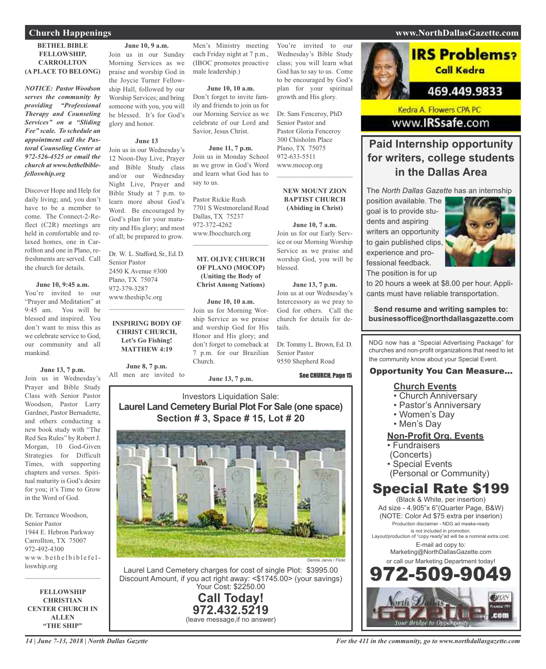### **BETHEL BIBLE FELLOWSHIP, CARROLLTON (A PLACE TO BELONG)**

*NOTICE: Pastor Woodson serves the community by providing "Professional Therapy and Counseling Services" on a "Sliding Fee" scale. To schedule an appointment call the Pastoral Counseling Center at 972-526-4525 or email the church at www.bethelbiblefelloswhip.org*

Discover Hope and Help for daily living; and, you don't have to be a member to come. The Connect-2-Reflect (C2R) meetings are held in comfortable and relaxed homes, one in Carrollton and one in Plano, refreshments are served. Call the church for details.

#### **June 10, 9:45 a.m.**

You're invited to our "Prayer and Meditation" at 9:45 am. You will be blessed and inspired. You don't want to miss this as we celebrate service to God, our community and all mankind.

**June 13, 7 p.m.**

Join us in Wednesday's Prayer and Bible Study Class with Senior Pastor Woodson, Pastor Larry Gardner, Pastor Bernadette, and others conducting a new book study with "The Red Sea Rules" by Robert J. Morgan, 10 God-Given Strategies for Difficult Times, with supporting chapters and verses. Spiritual maturity is God's desire for you; it's Time to Grow in the Word of God.

Dr. Terrance Woodson, Senior Pastor 1944 E. Hebron Parkway Carrollton, TX 75007 972-492-4300 www.bethelbiblefelloswhip.org

 $\mathcal{L}$  , and the set of the set of the set of the set of the set of the set of the set of the set of the set of the set of the set of the set of the set of the set of the set of the set of the set of the set of the set

**FELLOWSHIP CHRISTIAN CENTER CHURCH IN ALLEN "THE SHIP"**

Join us in our Sunday Morning Services as we praise and worship God in the Joycie Turner Fellowship Hall, followed by our Worship Services; and bring someone with you, you will be blessed. It's for God's glory and honor.

### **June 13**

Join us in our Wednesday's 12 Noon-Day Live, Prayer and Bible Study class and/or our Wednesday Night Live, Prayer and Bible Study at 7 p.m. to learn more about God's Word. Be encouraged by God's plan for your maturity and His glory; and most of all; be prepared to grow.

Dr. W. L. Stafford, Sr., Ed. D. Senior Pastor 2450 K Avenue #300 Plano, TX 75074 972-379-3287 www.theship3c.org

 $\overline{\phantom{a}}$  , and the set of the set of the set of the set of the set of the set of the set of the set of the set of the set of the set of the set of the set of the set of the set of the set of the set of the set of the s

### **INSPIRING BODY OF CHRIST CHURCH, Let's Go Fishing! MATTHEW 4:19**

**June 8, 7 p.m.** All men are invited to Men's Ministry meeting each Friday night at 7 p.m., (IBOC promotes proactive male leadership.)

**June 10, 10 a.m.** Don't forget to invite family and friends to join us for our Morning Service as we celebrate of our Lord and Savior, Jesus Christ.

#### **June 11, 7 p.m.**

Join us in Monday School as we grow in God's Word and learn what God has to say to us.

Pastor Rickie Rush 7701 S Westmoreland Road Dallas, TX 75237 972-372-4262 www.Ibocchurch.org

### **MT. OLIVE CHURCH OF PLANO (MOCOP) (Uniting the Body of Christ Among Nations)**

 $\mathcal{L}$  , and the set of the set of the set of the set of the set of the set of the set of the set of the set of the set of the set of the set of the set of the set of the set of the set of the set of the set of the set

#### **June 10, 10 a.m.**

Join us for Morning Worship Service as we praise and worship God for His Honor and His glory; and don't forget to comeback at 7 p.m. for our Brazilian Church.

**June 13, 7 p.m.**

You're invited to our Wednesday's Bible Study class; you will learn what God has to say to us. Come to be encouraged by God's plan for your spiritual growth and His glory.

Dr. Sam Fenceroy, PhD Senior Pastor and Pastor Gloria Fenceroy 300 Chisholm Place Plano, TX 75075 972-633-5511 www.mocop.org

### **NEW MOUNT ZION BAPTIST CHURCH (Abiding in Christ)**

 $\mathcal{L}$  , and the set of the set of the set of the set of the set of the set of the set of the set of the set of the set of the set of the set of the set of the set of the set of the set of the set of the set of the set

#### **June 10, 7 a.m.**

Join us for our Early Service or our Morning Worship Service as we praise and worship God, you will be blessed.

#### **June 13, 7 p.m.**

Join us at our Wednesday's Intercessory as we pray to God for others. Call the church for details for details.

Dr. Tommy L. Brown, Ed. D. Senior Pastor 9550 Shepherd Road

See CHURCH, Page 15

### Investors Liquidation Sale: **Laurel Land Cemetery Burial Plot For Sale (one space) Section # 3, Space # 15, Lot # 20**



Laurel Land Cemetery charges for cost of single Plot: \$3995.00 Discount Amount, if you act right away: <\$1745.00> (your savings) Your Cost: \$2250.00

> **Call Today! 972.432.5219** (leave message,if no answer)

## **IRS Problems?** Call Kedra 469.449.9833

Kedra A. Flowers CPA PC www.IRSsafe.com

### **Paid Internship opportunity for writers, college students in the Dallas Area**

The *North Dallas Gazette* has an internship

position available. The goal is to provide students and aspiring writers an opportunity to gain published clips, experience and professional feedback. The position is for up



to 20 hours a week at \$8.00 per hour. Applicants must have reliable transportation.

### **Send resume and writing samples to: businessoffice@northdallasgazette.com**

NDG now has a "Special Advertising Package" for churches and non-profit organizations that need to let the community know about your Special Event.

### Opportunity You Can Measure...

### **Church Events**

- Church Anniversary
- Pastor's Anniversary
- Women's Day
- Men's Day

### **Non-Profit Org. Events**

- Fundraisers
- (Concerts)
- Special Events
- (Personal or Community)

### Special Rate \$199

(Black & White, per insertion) Ad size - 4.905"x 6"(Quarter Page, B&W) (NOTE: Color Ad \$75 extra per inserion) Production disclaimer - NDG ad meake-ready is not included in promotion. Layout/production of "copy ready"ad will be a nominal extra cost. E-mail ad copy to: Marketing@NorthDallasGazette.com or call our Marketing Department today! 972-509-9049



### **Church Happenings www.NorthDallasGazette.com**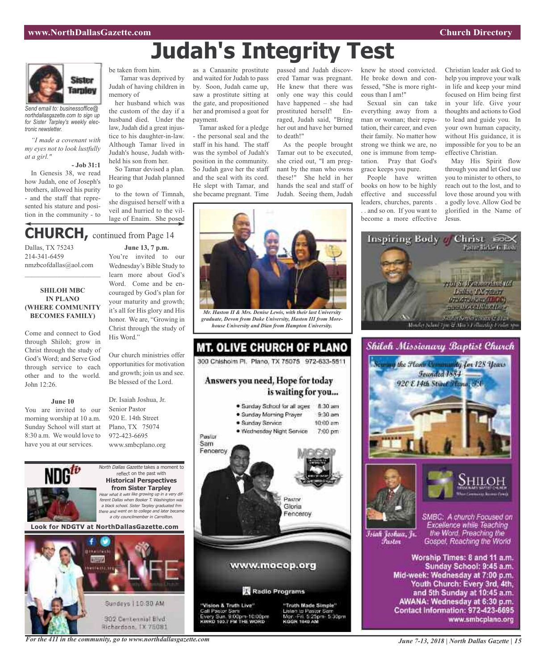# **Judah's Integrity Test**



*Send email to: businessoffice@ northdallasgazette.com to sign up for Sister Tarpley's weekly electronic newsletter.*

*"I made a covenant with my eyes not to look lustfully at a girl."*

**- Job 31:1** In Genesis 38, we read how Judah, one of Joseph's brothers, allowed his purity - and the staff that represented his stature and posi-

tion in the community - to

be taken from him. Tamar was deprived by Judah of having children in

memory of her husband which was the custom of the day if a husband died. Under the law, Judah did a great injustice to his daughter-in-law. Although Tamar lived in Judah's house, Judah withheld his son from her.

So Tamar devised a plan. Hearing that Judah planned to go

to the town of Timnah, she disguised herself with a veil and hurried to the village of Enaim. She posed

### **CHURCH,** continued from Page <sup>14</sup>

Dallas, TX 75243 214-341-6459 nmzbcofdallas@aol.com

### **SHILOH MBC IN PLANO (WHERE COMMUNITY BECOMES FAMILY)**

 $\mathcal{L}_\text{max}$  , which is a set of the set of the set of the set of the set of the set of the set of the set of the set of the set of the set of the set of the set of the set of the set of the set of the set of the set of

Come and connect to God through Shiloh; grow in Christ through the study of God's Word; and Serve God through service to each other and to the world. John 12:26.

#### **June 10**

You are invited to our morning worship at 10 a.m. Sunday School will start at 8:30 a.m. We would love to have you at our services.



Our church ministries offer opportunities for motivation and growth; join us and see. Be blessed of the Lord.

Dr. Isaiah Joshua, Jr. Senior Pastor 920 E. 14th Street Plano, TX 75074 972-423-6695 www.smbcplano.org





as a Canaanite prostitute and waited for Judah to pass by. Soon, Judah came up, saw a prostitute sitting at the gate, and propositioned her and promised a goat for payment.

Tamar asked for a pledge - the personal seal and the staff in his hand. The staff was the symbol of Judah's position in the community. So Judah gave her the staff and the seal with its cord. He slept with Tamar, and she became pregnant. Time

passed and Judah discovered Tamar was pregnant. He knew that there was only one way this could have happened – she had prostituted herself! Enraged, Judah said, "Bring her out and have her burned to death!"

As the people brought Tamar out to be executed, she cried out, "I am pregnant by the man who owns these!" She held in her hands the seal and staff of Judah. Seeing them, Judah



*Mr. Haston II & Mrs. Denise Lewis, with their last University graduate, Devon from Duke University, Haston III from Morehouse University and Dian from Hampton University.*

MT. OLIVE CHURCH OF PLANO 300 Chishoim Pl. Plano, TX 75075 972-633-5511 Answers you need, Hope for today is waiting for you... · Sunday School for all ages 8:30 am · Sunday Morning Prayer  $9.30$  am

· Sunday Service  $10:00$  am · Wednesday Night Service 7:00 pm Pastor Sam Fencercy Pastor Gloria Fenceroy

### www.mocop.org

Radio Programs

"Vision & Truth Live" Call Pastor Sam Sun, 9:00pm-10:00pm<br>183.2 EM THE WORD



knew he stood convicted. He broke down and confessed, "She is more righteous than I am!"

Sexual sin can take everything away from a man or woman; their reputation, their career, and even their family. No matter how strong we think we are, no one is immune from temptation. Pray that God's grace keeps you pure.

People have written books on how to be highly effective and successful leaders, churches, parents . . . and so on. If you want to become a more effective Christian leader ask God to help you improve your walk in life and keep your mind focused on Him being first in your life. Give your thoughts and actions to God to lead and guide you. In your own human capacity, without His guidance, it is impossible for you to be an effective Christian.

May His Spirit flow through you and let God use you to minister to others, to reach out to the lost, and to love those around you with a godly love. Allow God be glorified in the Name of Jesus.









Īsiah Joshua, Jr. Fustor

SMBC: A church Focused on Excellence while Teaching the Word. Preaching the Gospel, Reaching the World

Worship Times: 8 and 11 a.m. Sunday School: 9:45 a.m. Mid-week: Wednesday at 7:00 p.m. Youth Church: Every 3rd, 4th, and 5th Sunday at 10:45 a.m. AWANA: Wednesday at 6:30 p.m. Contact Information: 972-423-6695 www.smbcplano.org

*For the 411 in the community, go to www.northdallasgazette.com*